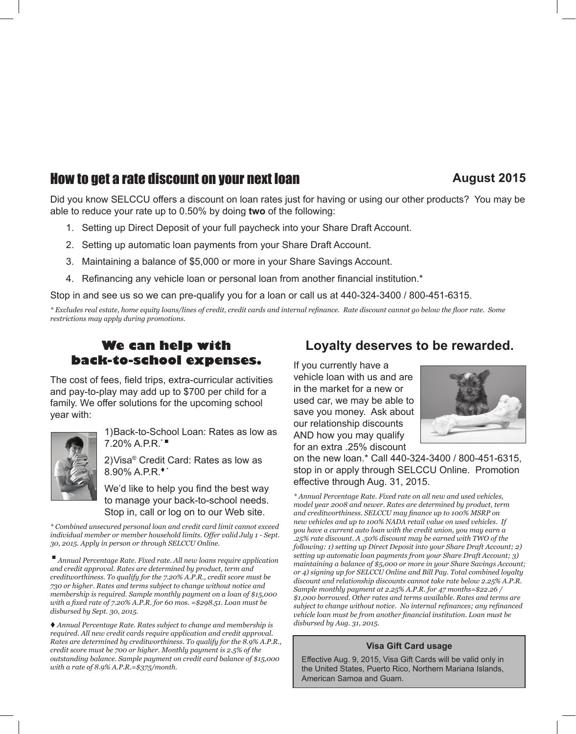# **How to get a rate discount on your next loan** *August 2015*

### Did you know SELCCU offers a discount on loan rates just for having or using our other products? You may be able to reduce your rate up to 0.50% by doing **two** of the following:

- 1. Setting up Direct Deposit of your full paycheck into your Share Draft Account.
- 2. Setting up automatic loan payments from your Share Draft Account.
- 3. Maintaining a balance of \$5,000 or more in your Share Savings Account.
- 4. Refinancing any vehicle loan or personal loan from another financial institution.\*

Stop in and see us so we can pre-qualify you for a loan or call us at 440-324-3400 / 800-451-6315.

*\* Excludes real estate, home equity loans/lines of credit, credit cards and internal refinance. Rate discount cannot go below the floor rate. Some restrictions may apply during promotions.*

# **We can help with back-to-school expenses.**

The cost of fees, field trips, extra-curricular activities and pay-to-play may add up to \$700 per child for a family. We offer solutions for the upcoming school year with:



1)Back-to-School Loan: Rates as low as 7.20% A.P.R.\* <sup>n</sup>

2)Visa® Credit Card: Rates as low as  $8.90\%$  A.P.R.<sup>\*</sup>\*

We'd like to help you find the best way to manage your back-to-school needs. Stop in, call or log on to our Web site.

*\* Combined unsecured personal loan and credit card limit cannot exceed individual member or member household limits. Offer valid July 1 - Sept. 30, 2015. Apply in person or through SELCCU Online.*

<sup>n</sup> *Annual Percentage Rate. Fixed rate. All new loans require application and credit approval. Rates are determined by product, term and creditworthiness. To qualify for the 7.20% A.P.R., credit score must be 730 or higher. Rates and terms subject to change without notice and membership is required. Sample monthly payment on a loan of \$15,000 with a fixed rate of 7.20% A.P.R. for 60 mos. =\$298.51. Loan must be disbursed by Sept. 30, 2015.*

t *Annual Percentage Rate. Rates subject to change and membership is required. All new credit cards require application and credit approval. Rates are determined by creditworthiness. To qualify for the 8.9% A.P.R., credit score must be 700 or higher. Monthly payment is 2.5% of the outstanding balance. Sample payment on credit card balance of \$15,000 with a rate of 8.9% A.P.R.=\$375/month.*

## **Loyalty deserves to be rewarded.**

If you currently have a vehicle loan with us and are in the market for a new or used car, we may be able to save you money. Ask about our relationship discounts AND how you may qualify for an extra .25% discount



on the new loan.\* Call 440-324-3400 / 800-451-6315, stop in or apply through SELCCU Online. Promotion effective through Aug. 31, 2015.

*\* Annual Percentage Rate. Fixed rate on all new and used vehicles, model year 2008 and newer. Rates are determined by product, term and creditworthiness. SELCCU may finance up to 100% MSRP on new vehicles and up to 100% NADA retail value on used vehicles. If you have a current auto loan with the credit union, you may earn a .25% rate discount. A .50% discount may be earned with TWO of the following: 1) setting up Direct Deposit into your Share Draft Account; 2) setting up automatic loan payments from your Share Draft Account; 3) maintaining a balance of \$5,000 or more in your Share Savings Account; or 4) signing up for SELCCU Online and Bill Pay. Total combined loyalty discount and relationship discounts cannot take rate below 2.25% A.P.R. Sample monthly payment at 2.25% A.P.R. for 47 months=\$22.26 / \$1,000 borrowed. Other rates and terms available. Rates and terms are subject to change without notice. No internal refinances; any refinanced vehicle loan must be from another financial institution. Loan must be disbursed by Aug. 31, 2015.*

#### **Visa Gift Card usage**

Effective Aug. 9, 2015, Visa Gift Cards will be valid only in the United States, Puerto Rico, Northern Mariana Islands, American Samoa and Guam.